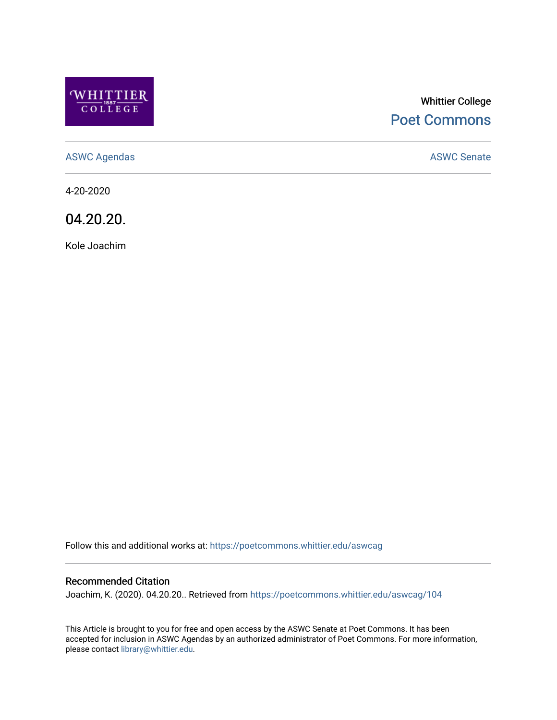

# Whittier College [Poet Commons](https://poetcommons.whittier.edu/)

[ASWC Agendas](https://poetcommons.whittier.edu/aswcag) **ASWC Senate** 

4-20-2020

04.20.20.

Kole Joachim

Follow this and additional works at: [https://poetcommons.whittier.edu/aswcag](https://poetcommons.whittier.edu/aswcag?utm_source=poetcommons.whittier.edu%2Faswcag%2F104&utm_medium=PDF&utm_campaign=PDFCoverPages) 

## Recommended Citation

Joachim, K. (2020). 04.20.20.. Retrieved from [https://poetcommons.whittier.edu/aswcag/104](https://poetcommons.whittier.edu/aswcag/104?utm_source=poetcommons.whittier.edu%2Faswcag%2F104&utm_medium=PDF&utm_campaign=PDFCoverPages) 

This Article is brought to you for free and open access by the ASWC Senate at Poet Commons. It has been accepted for inclusion in ASWC Agendas by an authorized administrator of Poet Commons. For more information, please contact [library@whittier.edu](mailto:library@whittier.edu).